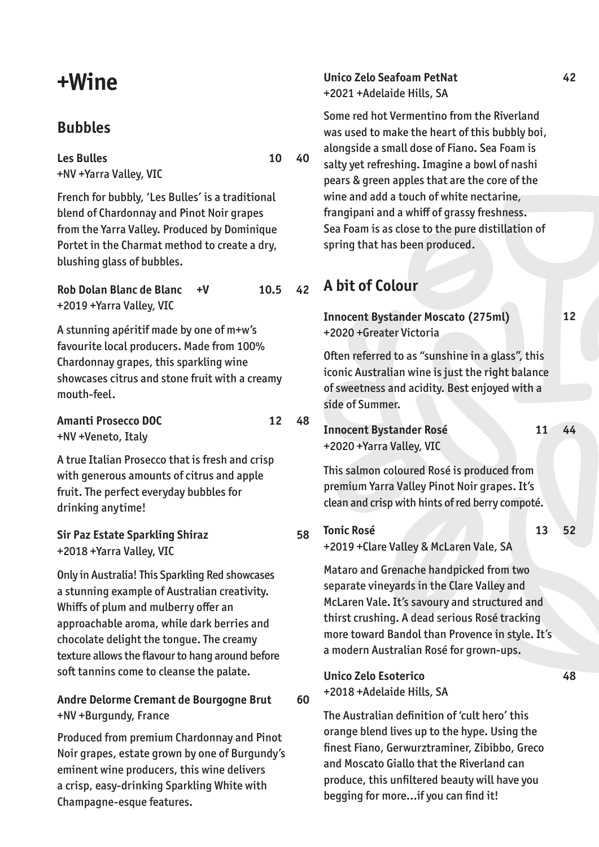## **Bubbles**

**Les Bulles**  +NV +Yarra Valley, VIC

French for bubbly, 'Les Bulles' is a traditional blend of Chardonnay and Pinot Noir grapes from the Yarra Valley. Produced by Dominique Portet in the Charmat method to create a dry, blushing glass of bubbles.

**Rob Dolan Blanc de Blanc +V**  +2019 +Yarra Valley, VIC **10.5 42**

A stunning apéritif made by one of m+w's favourite local producers. Made from 100% Chardonnay grapes, this sparkling wine showcases citrus and stone fruit with a creamy mouth-feel.

**Amanti Prosecco DOC**  +NV +Veneto, Italy

A true Italian Prosecco that is fresh and crisp with generous amounts of citrus and apple fruit. The perfect everyday bubbles for drinking anytime!

**Sir Paz Estate Sparkling Shiraz**  +2018 +Yarra Valley, VIC

Only in Australia! This Sparkling Red showcases a stunning example of Australian creativity. Whiffs of plum and mulberry offer an approachable aroma, while dark berries and chocolate delight the tongue. The creamy texture allows the flavour to hang around before soft tannins come to cleanse the palate.

### **Andre Delorme Cremant de Bourgogne Brut**  +NV +Burgundy, France

Produced from premium Chardonnay and Pinot Noir grapes, estate grown by one of Burgundy's eminent wine producers, this wine delivers a crisp, easy-drinking Sparkling White with Champagne-esque features.

**Unico Zelo Seafoam PetNat**  +2021 +Adelaide Hills, SA

Some red hot Vermentino from the Riverland was used to make the heart of this bubbly boi, alongside a small dose of Fiano. Sea Foam is salty yet refreshing. Imagine a bowl of nashi pears & green apples that are the core of the wine and add a touch of white nectarine, frangipani and a whiff of grassy freshness. Sea Foam is as close to the pure distillation of spring that has been produced.

## **A bit of Colour**

**Innocent Bystander Moscato (275ml)**  +2020 +Greater Victoria

Often referred to as "sunshine in a glass", this iconic Australian wine is just the right balance of sweetness and acidity. Best enjoyed with a side of Summer.

**Innocent Bystander Rosé**  +2020 +Yarra Valley, VIC

**11 44**

**13 52**

**48**

**12**

This salmon coloured Rosé is produced from premium Yarra Valley Pinot Noir grapes. It's clean and crisp with hints of red berry compoté.

**Tonic Rosé**  +2019 +Clare Valley & McLaren Vale, SA

Mataro and Grenache handpicked from two separate vineyards in the Clare Valley and McLaren Vale. It's savoury and structured and thirst crushing. A dead serious Rosé tracking more toward Bandol than Provence in style. It's a modern Australian Rosé for grown-ups.

#### **Unico Zelo Esoterico**

**60** +2018 +Adelaide Hills, SA

> The Australian definition of 'cult hero' this orange blend lives up to the hype. Using the finest Fiano, Gerwurztraminer, Zibibbo, Greco and Moscato Giallo that the Riverland can produce, this unfiltered beauty will have you begging for more…if you can find it!

**10 40**

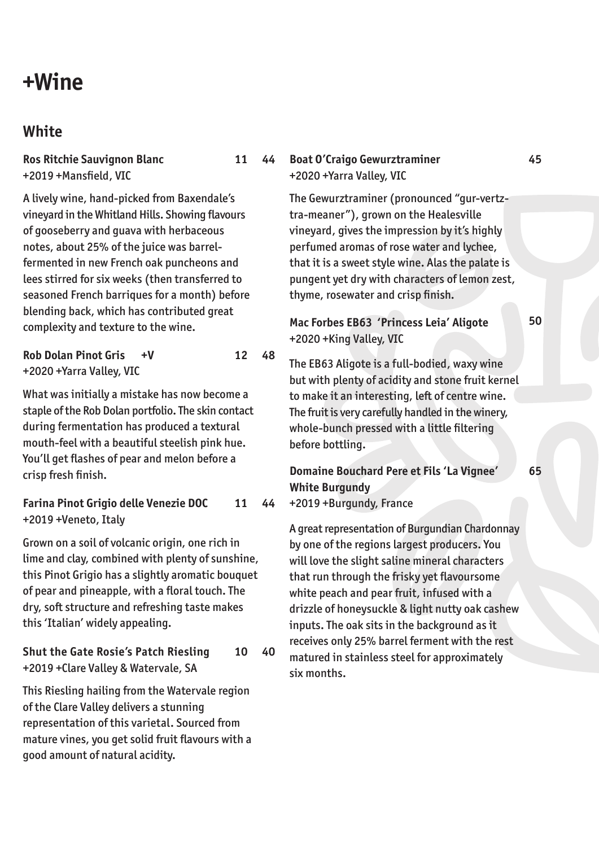## **White**

**Ros Ritchie Sauvignon Blanc** +2019 +Mansfield, VIC

A lively wine, hand-picked from Baxendale's vineyard in the Whitland Hills. Showing flavours of gooseberry and guava with herbaceous notes, about 25% of the juice was barrelfermented in new French oak puncheons and lees stirred for six weeks (then transferred to seasoned French barriques for a month) before blending back, which has contributed great complexity and texture to the wine.

### **Rob Dolan Pinot Gris +V**  +2020 +Yarra Valley, VIC

What was initially a mistake has now become a staple of the Rob Dolan portfolio. The skin contact during fermentation has produced a textural mouth-feel with a beautiful steelish pink hue. You'll get flashes of pear and melon before a crisp fresh finish.

**12 48**

**Farina Pinot Grigio delle Venezie DOC** +2019 +Veneto, Italy **11 44**

Grown on a soil of volcanic origin, one rich in lime and clay, combined with plenty of sunshine, this Pinot Grigio has a slightly aromatic bouquet of pear and pineapple, with a floral touch. The dry, soft structure and refreshing taste makes this 'Italian' widely appealing.

**Shut the Gate Rosie's Patch Riesling** +2019 +Clare Valley & Watervale, SA **10 40**

This Riesling hailing from the Watervale region of the Clare Valley delivers a stunning representation of this varietal. Sourced from mature vines, you get solid fruit flavours with a good amount of natural acidity.

#### **11 44 Boat O'Craigo Gewurztraminer** +2020 +Yarra Valley, VIC

The Gewurztraminer (pronounced "gur-vertztra-meaner"), grown on the Healesville vineyard, gives the impression by it's highly perfumed aromas of rose water and lychee, that it is a sweet style wine. Alas the palate is pungent yet dry with characters of lemon zest, thyme, rosewater and crisp finish.

**Mac Forbes EB63 'Princess Leia' Aligote** +2020 +King Valley, VIC

The EB63 Aligote is a full-bodied, waxy wine but with plenty of acidity and stone fruit kernel to make it an interesting, left of centre wine. The fruit is very carefully handled in the winery, whole-bunch pressed with a little filtering before bottling.

**Domaine Bouchard Pere et Fils 'La Vignee' White Burgundy**  +2019 +Burgundy, France

A great representation of Burgundian Chardonnay by one of the regions largest producers. You will love the slight saline mineral characters that run through the frisky yet flavoursome white peach and pear fruit, infused with a drizzle of honeysuckle & light nutty oak cashew inputs. The oak sits in the background as it receives only 25% barrel ferment with the rest matured in stainless steel for approximately six months.

**50**

**45**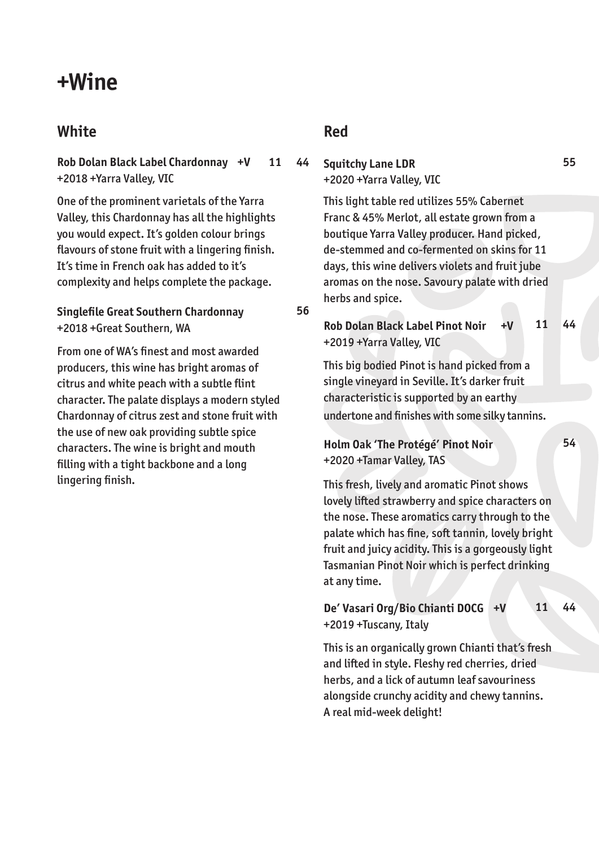# **White**

**Rob Dolan Black Label Chardonnay +V**  +2018 +Yarra Valley, VIC **11 44**

One of the prominent varietals of the Yarra Valley, this Chardonnay has all the highlights you would expect. It's golden colour brings flavours of stone fruit with a lingering finish. It's time in French oak has added to it's complexity and helps complete the package.

### **Singlefile Great Southern Chardonnay** +2018 +Great Southern, WA

From one of WA's finest and most awarded producers, this wine has bright aromas of citrus and white peach with a subtle flint character. The palate displays a modern styled Chardonnay of citrus zest and stone fruit with the use of new oak providing subtle spice characters. The wine is bright and mouth filling with a tight backbone and a long lingering finish.

## **Red**

**56**

**Squitchy Lane LDR** +2020 +Yarra Valley, VIC

> This light table red utilizes 55% Cabernet Franc & 45% Merlot, all estate grown from a boutique Yarra Valley producer. Hand picked, de-stemmed and co-fermented on skins for 11 days, this wine delivers violets and fruit jube aromas on the nose. Savoury palate with dried herbs and spice.

#### **Rob Dolan Black Label Pinot Noir +V** +2019 +Yarra Valley, VIC **11 44**

This big bodied Pinot is hand picked from a single vineyard in Seville. It's darker fruit characteristic is supported by an earthy undertone and finishes with some silky tannins.

#### **Holm Oak 'The Protégé' Pinot Noir** +2020 +Tamar Valley, TAS

This fresh, lively and aromatic Pinot shows lovely lifted strawberry and spice characters on the nose. These aromatics carry through to the palate which has fine, soft tannin, lovely bright fruit and juicy acidity. This is a gorgeously light Tasmanian Pinot Noir which is perfect drinking at any time.

#### **De' Vasari Org/Bio Chianti DOCG +V** +2019 +Tuscany, Italy **11 44**

This is an organically grown Chianti that's fresh and lifted in style. Fleshy red cherries, dried herbs, and a lick of autumn leaf savouriness alongside crunchy acidity and chewy tannins. A real mid-week delight!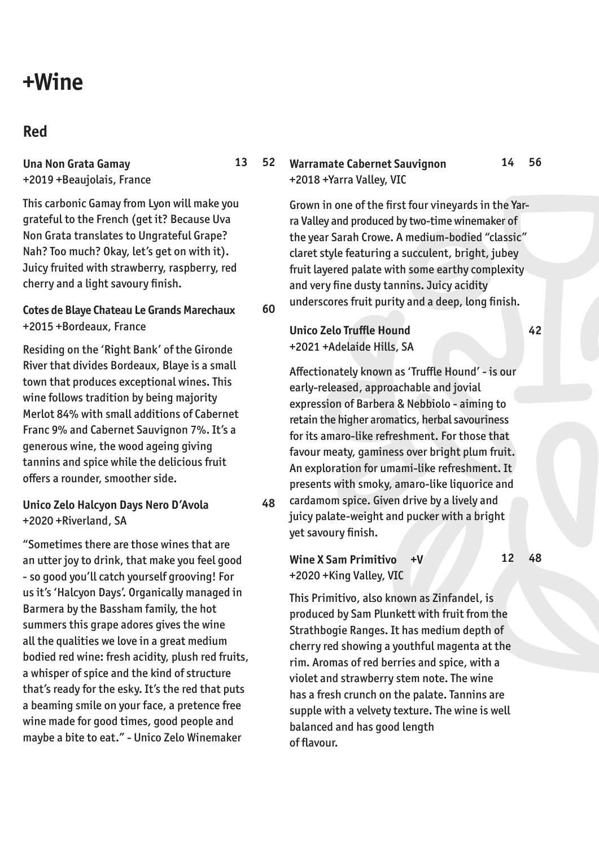## **Red**

**Una Non Grata Gamay** +2019 +Beaujolais, France

This carbonic Gamay from Lyon will make you grateful to the French (get it? Because Uva Non Grata translates to Ungrateful Grape? Nah? Too much? Okay, let's get on with it). Juicy fruited with strawberry, raspberry, red cherry and a light savoury finish.

#### **Cotes de Blaye Chateau Le Grands Marechaux** +2015 +Bordeaux, France

Residing on the 'Right Bank' of the Gironde River that divides Bordeaux, Blaye is a small town that produces exceptional wines. This wine follows tradition by being majority Merlot 84% with small additions of Cabernet Franc 9% and Cabernet Sauvignon 7%. It's a generous wine, the wood ageing giving tannins and spice while the delicious fruit offers a rounder, smoother side.

### **Unico Zelo Halcyon Days Nero D'Avola** +2020 +Riverland, SA

"Sometimes there are those wines that are an utter joy to drink, that make you feel good - so good you'll catch yourself grooving! For us it's 'Halcyon Days'. Organically managed in Barmera by the Bassham family, the hot summers this grape adores gives the wine all the qualities we love in a great medium bodied red wine: fresh acidity, plush red fruits, a whisper of spice and the kind of structure that's ready for the esky. It's the red that puts a beaming smile on your face, a pretence free wine made for good times, good people and maybe a bite to eat." - Unico Zelo Winemaker

#### **13 52 Warramate Cabernet Sauvignon** +2018 +Yarra Valley, VIC

Grown in one of the first four vineyards in the Yarra Valley and produced by two-time winemaker of the year Sarah Crowe. A medium-bodied "classic" claret style featuring a succulent, bright, jubey fruit layered palate with some earthy complexity and very fine dusty tannins. Juicy acidity underscores fruit purity and a deep, long finish.

### **Unico Zelo Truffle Hound** +2021 +Adelaide Hills, SA

**60**

**48**

Affectionately known as 'Truffle Hound' - is our early-released, approachable and jovial expression of Barbera & Nebbiolo - aiming to retain the higher aromatics, herbal savouriness for its amaro-like refreshment. For those that favour meaty, gaminess over bright plum fruit. An exploration for umami-like refreshment. It presents with smoky, amaro-like liquorice and cardamom spice. Given drive by a lively and juicy palate-weight and pucker with a bright yet savoury finish.

#### **Wine X Sam Primitivo +V** +2020 +King Valley, VIC **12 48**

This Primitivo, also known as Zinfandel, is produced by Sam Plunkett with fruit from the Strathbogie Ranges. It has medium depth of cherry red showing a youthful magenta at the rim. Aromas of red berries and spice, with a violet and strawberry stem note. The wine has a fresh crunch on the palate. Tannins are supple with a velvety texture. The wine is well balanced and has good length of flavour.

**42**